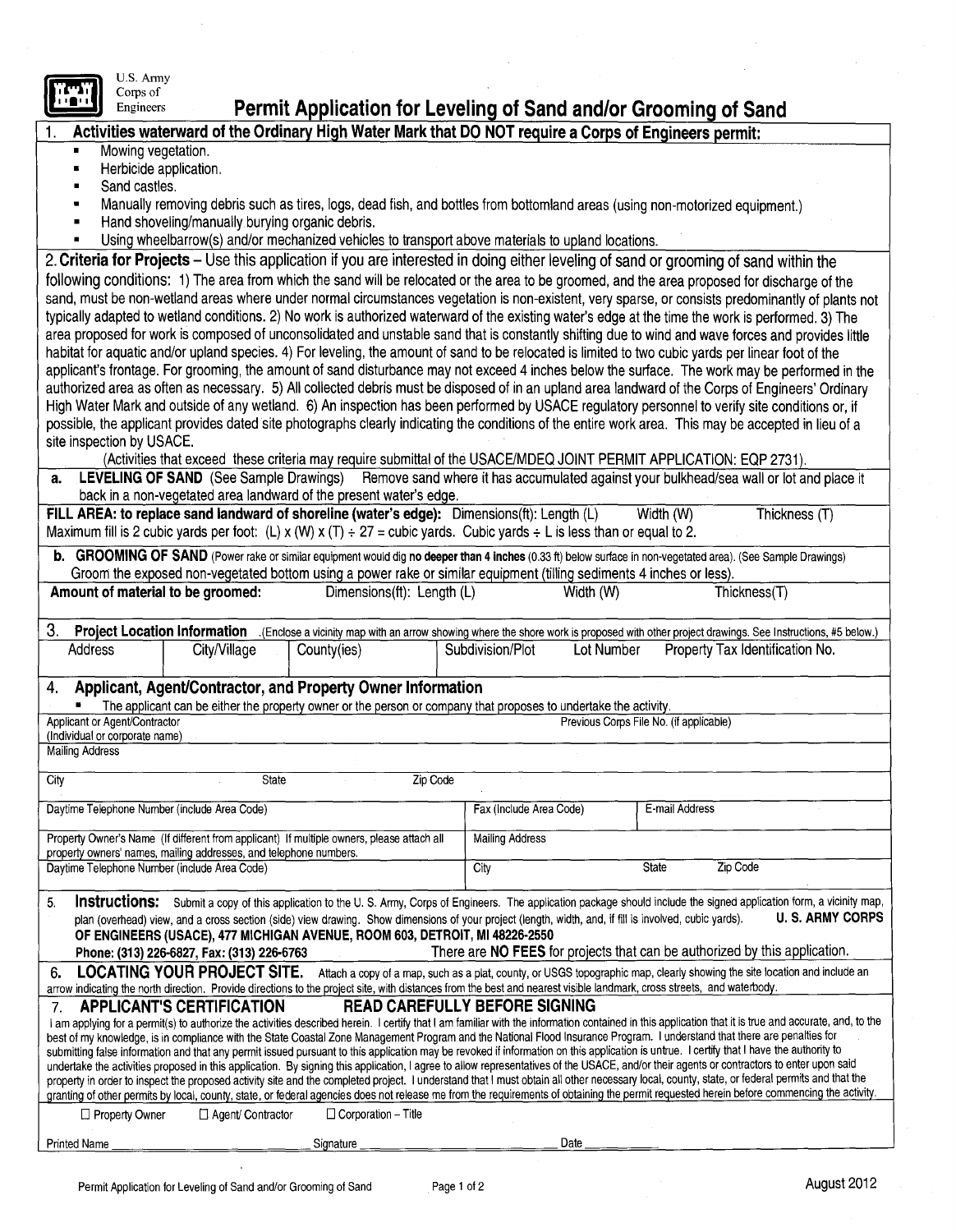| U.S. Army<br>Corps of<br>Permit Application for Leveling of Sand and/or Grooming of Sand<br>Engineers                                                                                                                                                                                                                                                                                                                                                                                                                                                                                                                                                                                                                                                                                                                                                                                                                                                                                                                                                                        |                            |                         |                   |
|------------------------------------------------------------------------------------------------------------------------------------------------------------------------------------------------------------------------------------------------------------------------------------------------------------------------------------------------------------------------------------------------------------------------------------------------------------------------------------------------------------------------------------------------------------------------------------------------------------------------------------------------------------------------------------------------------------------------------------------------------------------------------------------------------------------------------------------------------------------------------------------------------------------------------------------------------------------------------------------------------------------------------------------------------------------------------|----------------------------|-------------------------|-------------------|
| Activities waterward of the Ordinary High Water Mark that DO NOT require a Corps of Engineers permit:                                                                                                                                                                                                                                                                                                                                                                                                                                                                                                                                                                                                                                                                                                                                                                                                                                                                                                                                                                        |                            |                         |                   |
| Mowing vegetation.                                                                                                                                                                                                                                                                                                                                                                                                                                                                                                                                                                                                                                                                                                                                                                                                                                                                                                                                                                                                                                                           |                            |                         |                   |
| Herbicide application.                                                                                                                                                                                                                                                                                                                                                                                                                                                                                                                                                                                                                                                                                                                                                                                                                                                                                                                                                                                                                                                       |                            |                         |                   |
| Sand castles.                                                                                                                                                                                                                                                                                                                                                                                                                                                                                                                                                                                                                                                                                                                                                                                                                                                                                                                                                                                                                                                                |                            |                         |                   |
| Manually removing debris such as tires, logs, dead fish, and bottles from bottomland areas (using non-motorized equipment.)<br>Hand shoveling/manually burying organic debris.                                                                                                                                                                                                                                                                                                                                                                                                                                                                                                                                                                                                                                                                                                                                                                                                                                                                                               |                            |                         |                   |
| Using wheelbarrow(s) and/or mechanized vehicles to transport above materials to upland locations.                                                                                                                                                                                                                                                                                                                                                                                                                                                                                                                                                                                                                                                                                                                                                                                                                                                                                                                                                                            |                            |                         |                   |
| 2. Criteria for Projects - Use this application if you are interested in doing either leveling of sand or grooming of sand within the                                                                                                                                                                                                                                                                                                                                                                                                                                                                                                                                                                                                                                                                                                                                                                                                                                                                                                                                        |                            |                         |                   |
| following conditions: 1) The area from which the sand will be relocated or the area to be groomed, and the area proposed for discharge of the<br>sand, must be non-wetland areas where under normal circumstances vegetation is non-existent, very sparse, or consists predominantly of plants not<br>typically adapted to wetland conditions. 2) No work is authorized waterward of the existing water's edge at the time the work is performed. 3) The<br>area proposed for work is composed of unconsolidated and unstable sand that is constantly shifting due to wind and wave forces and provides little<br>habitat for aquatic and/or upland species. 4) For leveling, the amount of sand to be relocated is limited to two cubic yards per linear foot of the<br>applicant's frontage. For grooming, the amount of sand disturbance may not exceed 4 inches below the surface. The work may be performed in the<br>authorized area as often as necessary. 5) All collected debris must be disposed of in an upland area landward of the Corps of Engineers' Ordinary |                            |                         |                   |
| High Water Mark and outside of any wetland. 6) An inspection has been performed by USACE regulatory personnel to verify site conditions or, if                                                                                                                                                                                                                                                                                                                                                                                                                                                                                                                                                                                                                                                                                                                                                                                                                                                                                                                               |                            |                         |                   |
| possible, the applicant provides dated site photographs clearly indicating the conditions of the entire work area. This may be accepted in lieu of a                                                                                                                                                                                                                                                                                                                                                                                                                                                                                                                                                                                                                                                                                                                                                                                                                                                                                                                         |                            |                         |                   |
| site inspection by USACE.<br>(Activities that exceed these criteria may require submittal of the USACE/MDEQ JOINT PERMIT APPLICATION: EQP 2731).                                                                                                                                                                                                                                                                                                                                                                                                                                                                                                                                                                                                                                                                                                                                                                                                                                                                                                                             |                            |                         |                   |
| LEVELING OF SAND (See Sample Drawings) Remove sand where it has accumulated against your bulkhead/sea wall or lot and place it<br>а.                                                                                                                                                                                                                                                                                                                                                                                                                                                                                                                                                                                                                                                                                                                                                                                                                                                                                                                                         |                            |                         |                   |
| back in a non-vegetated area landward of the present water's edge.                                                                                                                                                                                                                                                                                                                                                                                                                                                                                                                                                                                                                                                                                                                                                                                                                                                                                                                                                                                                           |                            |                         |                   |
| FILL AREA: to replace sand landward of shoreline (water's edge): Dimensions(ft): Length (L)<br>Width (W)<br>Thickness (T)<br>Maximum fill is 2 cubic yards per foot: (L) x (W) x (T) ÷ 27 = cubic yards. Cubic yards ÷ L is less than or equal to 2.                                                                                                                                                                                                                                                                                                                                                                                                                                                                                                                                                                                                                                                                                                                                                                                                                         |                            |                         |                   |
| b. GROOMING OF SAND (Power rake or similar equipment would dig no deeper than 4 inches (0.33 ft) below surface in non-vegetated area). (See Sample Drawings)                                                                                                                                                                                                                                                                                                                                                                                                                                                                                                                                                                                                                                                                                                                                                                                                                                                                                                                 |                            |                         |                   |
| Groom the exposed non-vegetated bottom using a power rake or similar equipment (tilling sediments 4 inches or less).                                                                                                                                                                                                                                                                                                                                                                                                                                                                                                                                                                                                                                                                                                                                                                                                                                                                                                                                                         |                            |                         |                   |
| Amount of material to be groomed:<br>Dimensions(ft): Length (L)<br>Width (W)<br>Thickness(T)                                                                                                                                                                                                                                                                                                                                                                                                                                                                                                                                                                                                                                                                                                                                                                                                                                                                                                                                                                                 |                            |                         |                   |
| 3.<br>Project Location Information (Enclose a vicinity map with an arrow showing where the shore work is proposed with other project drawings. See Instructions, #5 below.)                                                                                                                                                                                                                                                                                                                                                                                                                                                                                                                                                                                                                                                                                                                                                                                                                                                                                                  |                            |                         |                   |
| Address<br>Subdivision/Plot<br>City/Village<br>Lot Number<br>Property Tax Identification No.<br>County(ies)                                                                                                                                                                                                                                                                                                                                                                                                                                                                                                                                                                                                                                                                                                                                                                                                                                                                                                                                                                  |                            |                         |                   |
|                                                                                                                                                                                                                                                                                                                                                                                                                                                                                                                                                                                                                                                                                                                                                                                                                                                                                                                                                                                                                                                                              |                            |                         |                   |
| Applicant, Agent/Contractor, and Property Owner Information<br>4.                                                                                                                                                                                                                                                                                                                                                                                                                                                                                                                                                                                                                                                                                                                                                                                                                                                                                                                                                                                                            |                            |                         |                   |
| The applicant can be either the property owner or the person or company that proposes to undertake the activity.                                                                                                                                                                                                                                                                                                                                                                                                                                                                                                                                                                                                                                                                                                                                                                                                                                                                                                                                                             |                            |                         |                   |
| Applicant or Agent/Contractor<br>Previous Corps File No. (if applicable)<br>(Individual or corporate name)                                                                                                                                                                                                                                                                                                                                                                                                                                                                                                                                                                                                                                                                                                                                                                                                                                                                                                                                                                   |                            |                         |                   |
| <b>Mailing Address</b>                                                                                                                                                                                                                                                                                                                                                                                                                                                                                                                                                                                                                                                                                                                                                                                                                                                                                                                                                                                                                                                       |                            |                         |                   |
| Zip Code<br>City<br>State                                                                                                                                                                                                                                                                                                                                                                                                                                                                                                                                                                                                                                                                                                                                                                                                                                                                                                                                                                                                                                                    |                            |                         |                   |
|                                                                                                                                                                                                                                                                                                                                                                                                                                                                                                                                                                                                                                                                                                                                                                                                                                                                                                                                                                                                                                                                              |                            |                         |                   |
| Daytime Telephone Number (include Area Code)                                                                                                                                                                                                                                                                                                                                                                                                                                                                                                                                                                                                                                                                                                                                                                                                                                                                                                                                                                                                                                 |                            | Fax (Include Area Code) | E-mail Address    |
| Property Owner's Name (If different from applicant) If multiple owners, please attach all                                                                                                                                                                                                                                                                                                                                                                                                                                                                                                                                                                                                                                                                                                                                                                                                                                                                                                                                                                                    |                            | <b>Mailing Address</b>  |                   |
| property owners' names, mailing addresses, and telephone numbers.<br>Daytime Telephone Number (include Area Code)                                                                                                                                                                                                                                                                                                                                                                                                                                                                                                                                                                                                                                                                                                                                                                                                                                                                                                                                                            |                            | City                    | Zip Code<br>State |
|                                                                                                                                                                                                                                                                                                                                                                                                                                                                                                                                                                                                                                                                                                                                                                                                                                                                                                                                                                                                                                                                              |                            |                         |                   |
| Instructions: Submit a copy of this application to the U.S. Army, Corps of Engineers. The application package should include the signed application form, a vicinity map,<br>5.<br><b>U.S. ARMY CORPS</b><br>plan (overhead) view, and a cross section (side) view drawing. Show dimensions of your project (length, width, and, if fill is involved, cubic yards).<br>OF ENGINEERS (USACE), 477 MICHIGAN AVENUE, ROOM 603, DETROIT, MI 48226-2550<br>There are NO FEES for projects that can be authorized by this application.<br>Phone: (313) 226-6827, Fax: (313) 226-6763                                                                                                                                                                                                                                                                                                                                                                                                                                                                                               |                            |                         |                   |
| LOCATING YOUR PROJECT SITE.<br>6.<br>Attach a copy of a map, such as a plat, county, or USGS topographic map, clearly showing the site location and include an                                                                                                                                                                                                                                                                                                                                                                                                                                                                                                                                                                                                                                                                                                                                                                                                                                                                                                               |                            |                         |                   |
| arrow indicating the north direction. Provide directions to the project site, with distances from the best and nearest visible landmark, cross streets, and waterbody.                                                                                                                                                                                                                                                                                                                                                                                                                                                                                                                                                                                                                                                                                                                                                                                                                                                                                                       |                            |                         |                   |
| <b>READ CAREFULLY BEFORE SIGNING</b><br><b>APPLICANT'S CERTIFICATION</b><br>7 <sup>1</sup>                                                                                                                                                                                                                                                                                                                                                                                                                                                                                                                                                                                                                                                                                                                                                                                                                                                                                                                                                                                   |                            |                         |                   |
| I am applying for a permit(s) to authorize the activities described herein. I certify that I am familiar with the information contained in this application that it is true and accurate, and, to the<br>best of my knowledge, is in compliance with the State Coastal Zone Management Program and the National Flood Insurance Program. I understand that there are penalties for                                                                                                                                                                                                                                                                                                                                                                                                                                                                                                                                                                                                                                                                                           |                            |                         |                   |
| submitting false information and that any permit issued pursuant to this application may be revoked if information on this application is untrue. I certify that I have the authority to                                                                                                                                                                                                                                                                                                                                                                                                                                                                                                                                                                                                                                                                                                                                                                                                                                                                                     |                            |                         |                   |
| undertake the activities proposed in this application. By signing this application, I agree to allow representatives of the USACE, and/or their agents or contractors to enter upon said<br>property in order to inspect the proposed activity site and the completed project. I understand that I must obtain all other necessary local, county, state, or federal permits and that the                                                                                                                                                                                                                                                                                                                                                                                                                                                                                                                                                                                                                                                                                     |                            |                         |                   |
|                                                                                                                                                                                                                                                                                                                                                                                                                                                                                                                                                                                                                                                                                                                                                                                                                                                                                                                                                                                                                                                                              |                            |                         |                   |
| granting of other permits by local, county, state, or federal agencies does not release me from the requirements of obtaining the permit requested herein before commencing the activity                                                                                                                                                                                                                                                                                                                                                                                                                                                                                                                                                                                                                                                                                                                                                                                                                                                                                     |                            |                         |                   |
| Agent/Contractor<br>□ Property Owner                                                                                                                                                                                                                                                                                                                                                                                                                                                                                                                                                                                                                                                                                                                                                                                                                                                                                                                                                                                                                                         | $\Box$ Corporation - Title |                         |                   |
| Signature<br><b>Printed Name</b>                                                                                                                                                                                                                                                                                                                                                                                                                                                                                                                                                                                                                                                                                                                                                                                                                                                                                                                                                                                                                                             |                            | Date                    |                   |

l,